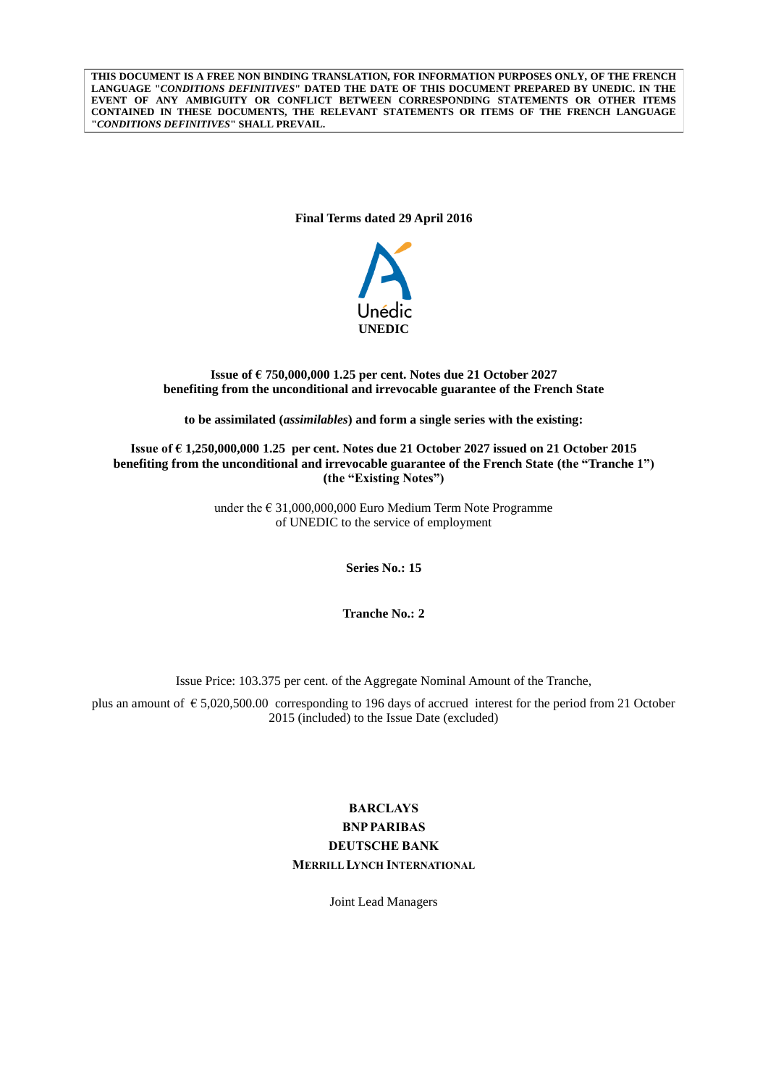**THIS DOCUMENT IS A FREE NON BINDING TRANSLATION, FOR INFORMATION PURPOSES ONLY, OF THE FRENCH LANGUAGE "***CONDITIONS DEFINITIVES***" DATED THE DATE OF THIS DOCUMENT PREPARED BY UNEDIC. IN THE EVENT OF ANY AMBIGUITY OR CONFLICT BETWEEN CORRESPONDING STATEMENTS OR OTHER ITEMS CONTAINED IN THESE DOCUMENTS, THE RELEVANT STATEMENTS OR ITEMS OF THE FRENCH LANGUAGE "***CONDITIONS DEFINITIVES***" SHALL PREVAIL.**

**Final Terms dated 29 April 2016**



## **Issue of € 750,000,000 1.25 per cent. Notes due 21 October 2027 benefiting from the unconditional and irrevocable guarantee of the French State**

**to be assimilated (***assimilables***) and form a single series with the existing:**

**Issue of € 1,250,000,000 1.25 per cent. Notes due 21 October 2027 issued on 21 October 2015 benefiting from the unconditional and irrevocable guarantee of the French State (the "Tranche 1") (the "Existing Notes")**

> under the € 31,000,000,000 Euro Medium Term Note Programme of UNEDIC to the service of employment

> > **Series No.: 15**

**Tranche No.: 2**

Issue Price: 103.375 per cent. of the Aggregate Nominal Amount of the Tranche,

plus an amount of € 5,020,500.00 corresponding to 196 days of accrued interest for the period from 21 October 2015 (included) to the Issue Date (excluded)

# **BARCLAYS BNPPARIBAS DEUTSCHE BANK MERRILL LYNCH INTERNATIONAL**

Joint Lead Managers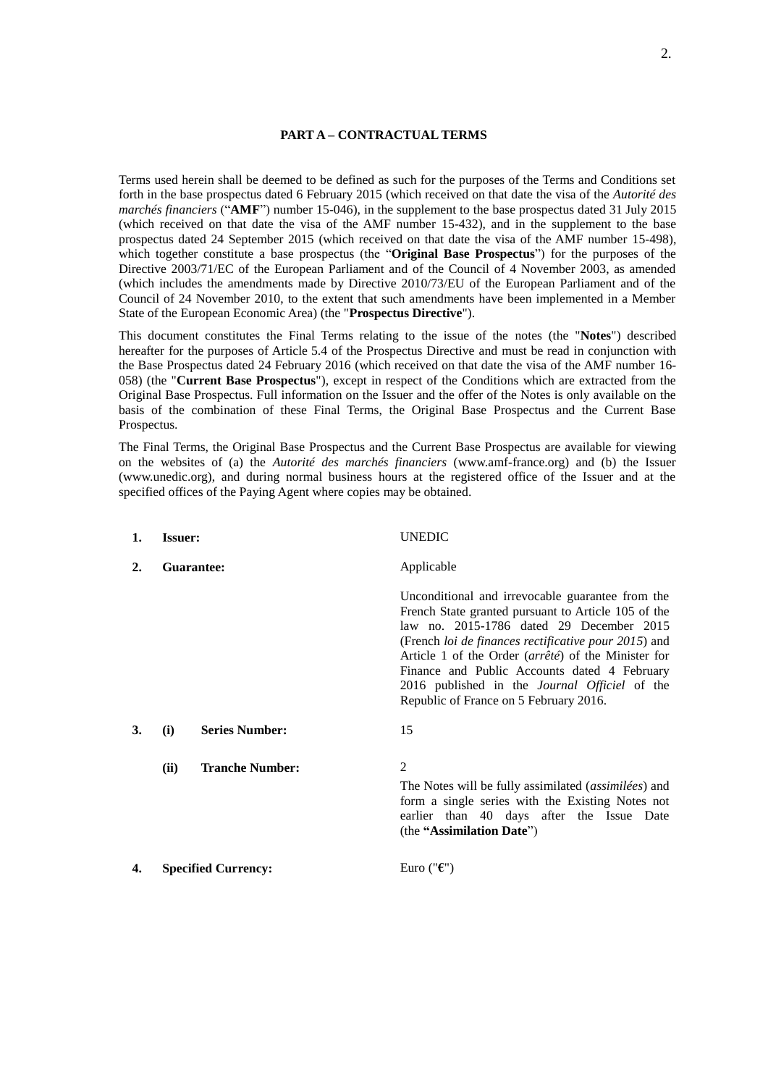#### **PART A – CONTRACTUAL TERMS**

Terms used herein shall be deemed to be defined as such for the purposes of the Terms and Conditions set forth in the base prospectus dated 6 February 2015 (which received on that date the visa of the *Autorité des marchés financiers* ("**AMF**") number 15-046), in the supplement to the base prospectus dated 31 July 2015 (which received on that date the visa of the AMF number 15-432), and in the supplement to the base prospectus dated 24 September 2015 (which received on that date the visa of the AMF number 15-498), which together constitute a base prospectus (the "**Original Base Prospectus**") for the purposes of the Directive 2003/71/EC of the European Parliament and of the Council of 4 November 2003, as amended (which includes the amendments made by Directive 2010/73/EU of the European Parliament and of the Council of 24 November 2010, to the extent that such amendments have been implemented in a Member State of the European Economic Area) (the "**Prospectus Directive**").

This document constitutes the Final Terms relating to the issue of the notes (the "**Notes**") described hereafter for the purposes of Article 5.4 of the Prospectus Directive and must be read in conjunction with the Base Prospectus dated 24 February 2016 (which received on that date the visa of the AMF number 16- 058) (the "**Current Base Prospectus**"), except in respect of the Conditions which are extracted from the Original Base Prospectus. Full information on the Issuer and the offer of the Notes is only available on the basis of the combination of these Final Terms, the Original Base Prospectus and the Current Base Prospectus.

The Final Terms, the Original Base Prospectus and the Current Base Prospectus are available for viewing on the websites of (a) the *Autorité des marchés financiers* (www.amf-france.org) and (b) the Issuer (www.unedic.org), and during normal business hours at the registered office of the Issuer and at the specified offices of the Paying Agent where copies may be obtained.

| 1. | <b>Issuer:</b> |                            | <b>UNEDIC</b>                                                                                                                                                                                                                                                                                                                                                                                                        |
|----|----------------|----------------------------|----------------------------------------------------------------------------------------------------------------------------------------------------------------------------------------------------------------------------------------------------------------------------------------------------------------------------------------------------------------------------------------------------------------------|
| 2. |                | Guarantee:                 | Applicable                                                                                                                                                                                                                                                                                                                                                                                                           |
|    |                |                            | Unconditional and irrevocable guarantee from the<br>French State granted pursuant to Article 105 of the<br>law no. 2015-1786 dated 29 December 2015<br>(French loi de finances rectificative pour 2015) and<br>Article 1 of the Order (arrêté) of the Minister for<br>Finance and Public Accounts dated 4 February<br>2016 published in the <i>Journal Officiel</i> of the<br>Republic of France on 5 February 2016. |
| 3. | (i)            | <b>Series Number:</b>      | 15                                                                                                                                                                                                                                                                                                                                                                                                                   |
|    | (ii)           | <b>Tranche Number:</b>     | 2<br>The Notes will be fully assimilated (assimilées) and<br>form a single series with the Existing Notes not<br>earlier than 40 days after the Issue Date<br>(the "Assimilation Date")                                                                                                                                                                                                                              |
| 4. |                | <b>Specified Currency:</b> | Euro (" $\epsilon$ ")                                                                                                                                                                                                                                                                                                                                                                                                |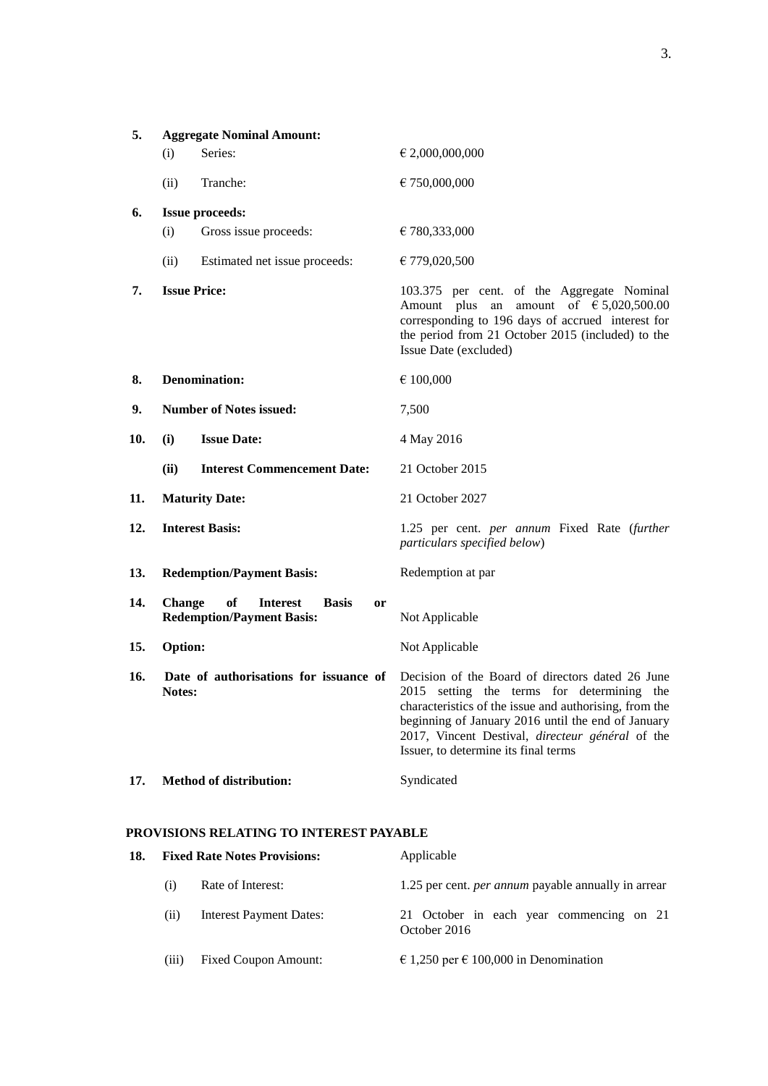| 5.  |                     | <b>Aggregate Nominal Amount:</b>                                                |                                                                                                                                                                                                                                                                                                            |
|-----|---------------------|---------------------------------------------------------------------------------|------------------------------------------------------------------------------------------------------------------------------------------------------------------------------------------------------------------------------------------------------------------------------------------------------------|
|     | (i)                 | Series:                                                                         | € 2,000,000,000                                                                                                                                                                                                                                                                                            |
|     | (ii)                | Tranche:                                                                        | € 750,000,000                                                                                                                                                                                                                                                                                              |
| 6.  |                     | <b>Issue proceeds:</b>                                                          |                                                                                                                                                                                                                                                                                                            |
|     | (i)                 | Gross issue proceeds:                                                           | € 780,333,000                                                                                                                                                                                                                                                                                              |
|     | (ii)                | Estimated net issue proceeds:                                                   | € 779,020,500                                                                                                                                                                                                                                                                                              |
| 7.  | <b>Issue Price:</b> |                                                                                 | 103.375 per cent. of the Aggregate Nominal<br>Amount plus an<br>amount of $\epsilon$ 5,020,500.00<br>corresponding to 196 days of accrued interest for<br>the period from 21 October 2015 (included) to the<br>Issue Date (excluded)                                                                       |
| 8.  |                     | <b>Denomination:</b>                                                            | € 100,000                                                                                                                                                                                                                                                                                                  |
| 9.  |                     | <b>Number of Notes issued:</b>                                                  | 7,500                                                                                                                                                                                                                                                                                                      |
| 10. | (i)                 | <b>Issue Date:</b>                                                              | 4 May 2016                                                                                                                                                                                                                                                                                                 |
|     | (ii)                | <b>Interest Commencement Date:</b>                                              | 21 October 2015                                                                                                                                                                                                                                                                                            |
| 11. |                     | <b>Maturity Date:</b>                                                           | 21 October 2027                                                                                                                                                                                                                                                                                            |
| 12. |                     | <b>Interest Basis:</b>                                                          | 1.25 per cent. <i>per annum</i> Fixed Rate (further<br>particulars specified below)                                                                                                                                                                                                                        |
| 13. |                     | <b>Redemption/Payment Basis:</b>                                                | Redemption at par                                                                                                                                                                                                                                                                                          |
| 14. | <b>Change</b>       | of<br><b>Interest</b><br><b>Basis</b><br>or<br><b>Redemption/Payment Basis:</b> | Not Applicable                                                                                                                                                                                                                                                                                             |
| 15. | Option:             |                                                                                 | Not Applicable                                                                                                                                                                                                                                                                                             |
| 16. | Notes:              | Date of authorisations for issuance of                                          | Decision of the Board of directors dated 26 June<br>2015 setting the terms for determining the<br>characteristics of the issue and authorising, from the<br>beginning of January 2016 until the end of January<br>2017, Vincent Destival, directeur général of the<br>Issuer, to determine its final terms |
| 17. |                     | <b>Method of distribution:</b>                                                  | Syndicated                                                                                                                                                                                                                                                                                                 |

# **PROVISIONS RELATING TO INTEREST PAYABLE**

| 18. |       | <b>Fixed Rate Notes Provisions:</b> | Applicable                                                 |
|-----|-------|-------------------------------------|------------------------------------------------------------|
|     | (i)   | Rate of Interest:                   | 1.25 per cent. <i>per annum</i> payable annually in arrear |
|     | (11)  | <b>Interest Payment Dates:</b>      | 21 October in each year commencing on 21<br>October 2016   |
|     | (iii) | <b>Fixed Coupon Amount:</b>         | € 1,250 per € 100,000 in Denomination                      |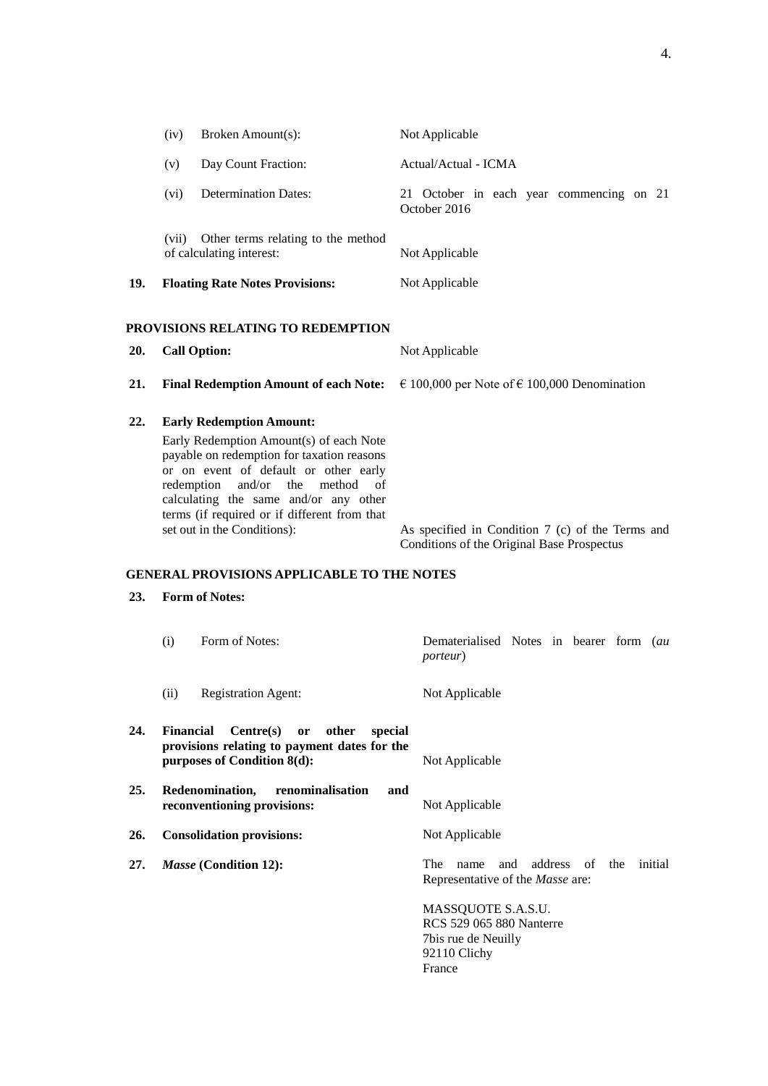|            | (iv)       | Broken Amount(s):                                                                                                                                                                                                                                                                                                                                                                                        | Not Applicable                                                                                                                                                                                   |
|------------|------------|----------------------------------------------------------------------------------------------------------------------------------------------------------------------------------------------------------------------------------------------------------------------------------------------------------------------------------------------------------------------------------------------------------|--------------------------------------------------------------------------------------------------------------------------------------------------------------------------------------------------|
|            | (v)        | Day Count Fraction:                                                                                                                                                                                                                                                                                                                                                                                      | Actual/Actual - ICMA                                                                                                                                                                             |
|            | (vi)       | <b>Determination Dates:</b>                                                                                                                                                                                                                                                                                                                                                                              | 21 October in each year commencing on 21<br>October 2016                                                                                                                                         |
|            |            | (vii) Other terms relating to the method<br>of calculating interest:                                                                                                                                                                                                                                                                                                                                     | Not Applicable                                                                                                                                                                                   |
| 19.        |            | <b>Floating Rate Notes Provisions:</b>                                                                                                                                                                                                                                                                                                                                                                   | Not Applicable                                                                                                                                                                                   |
|            |            | PROVISIONS RELATING TO REDEMPTION                                                                                                                                                                                                                                                                                                                                                                        |                                                                                                                                                                                                  |
| 20.        |            | <b>Call Option:</b>                                                                                                                                                                                                                                                                                                                                                                                      | Not Applicable                                                                                                                                                                                   |
| 21.        |            | <b>Final Redemption Amount of each Note:</b>                                                                                                                                                                                                                                                                                                                                                             | € 100,000 per Note of € 100,000 Denomination                                                                                                                                                     |
| 22.<br>23. | redemption | <b>Early Redemption Amount:</b><br>Early Redemption Amount(s) of each Note<br>payable on redemption for taxation reasons<br>or on event of default or other early<br>and/or<br>the<br>method<br>οf<br>calculating the same and/or any other<br>terms (if required or if different from that<br>set out in the Conditions):<br><b>GENERAL PROVISIONS APPLICABLE TO THE NOTES</b><br><b>Form of Notes:</b> | As specified in Condition 7 (c) of the Terms and<br>Conditions of the Original Base Prospectus                                                                                                   |
|            |            |                                                                                                                                                                                                                                                                                                                                                                                                          |                                                                                                                                                                                                  |
|            | (i)        | Form of Notes:                                                                                                                                                                                                                                                                                                                                                                                           | Dematerialised Notes in bearer form (au<br><i>porteur</i> )                                                                                                                                      |
|            | (ii)       | <b>Registration Agent:</b>                                                                                                                                                                                                                                                                                                                                                                               | Not Applicable                                                                                                                                                                                   |
| 24.        | Financial  | Centre(s)<br>or<br>other<br>special<br>provisions relating to payment dates for the<br>purposes of Condition 8(d):                                                                                                                                                                                                                                                                                       | Not Applicable                                                                                                                                                                                   |
| 25.        |            | Redenomination,<br>renominalisation<br>reconventioning provisions:                                                                                                                                                                                                                                                                                                                                       | and<br>Not Applicable                                                                                                                                                                            |
| 26.        |            | <b>Consolidation provisions:</b>                                                                                                                                                                                                                                                                                                                                                                         | Not Applicable                                                                                                                                                                                   |
| 27.        |            | Masse (Condition 12):                                                                                                                                                                                                                                                                                                                                                                                    | address<br>of<br>The<br>and<br>the initial<br>name<br>Representative of the Masse are:<br>MASSQUOTE S.A.S.U.<br><b>RCS 529 065 880 Nanterre</b><br>7bis rue de Neuilly<br>92110 Clichy<br>France |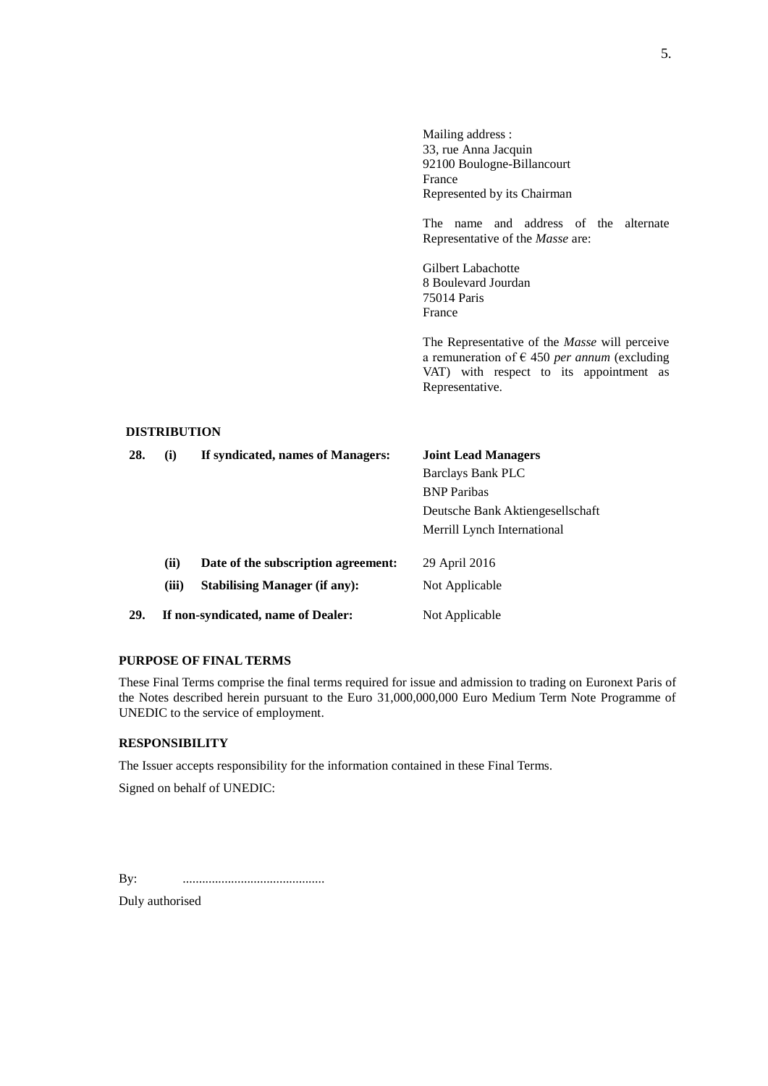Mailing address : 33, rue Anna Jacquin 92100 Boulogne-Billancourt France Represented by its Chairman

The name and address of the alternate Representative of the *Masse* are:

Gilbert Labachotte 8 Boulevard Jourdan 75014 Paris France

The Representative of the *Masse* will perceive a remuneration of € 450 *per annum* (excluding VAT) with respect to its appointment as Representative.

## **DISTRIBUTION**

| 28. | (i)   | If syndicated, names of Managers:    | <b>Joint Lead Managers</b>       |
|-----|-------|--------------------------------------|----------------------------------|
|     |       |                                      | <b>Barclays Bank PLC</b>         |
|     |       |                                      | <b>BNP</b> Paribas               |
|     |       |                                      | Deutsche Bank Aktiengesellschaft |
|     |       |                                      | Merrill Lynch International      |
|     | (ii)  | Date of the subscription agreement:  | 29 April 2016                    |
|     | (iii) | <b>Stabilising Manager (if any):</b> | Not Applicable                   |
| 29. |       | If non-syndicated, name of Dealer:   | Not Applicable                   |

## **PURPOSE OF FINAL TERMS**

These Final Terms comprise the final terms required for issue and admission to trading on Euronext Paris of the Notes described herein pursuant to the Euro 31,000,000,000 Euro Medium Term Note Programme of UNEDIC to the service of employment.

## **RESPONSIBILITY**

The Issuer accepts responsibility for the information contained in these Final Terms.

Signed on behalf of UNEDIC:

By: ............................................

Duly authorised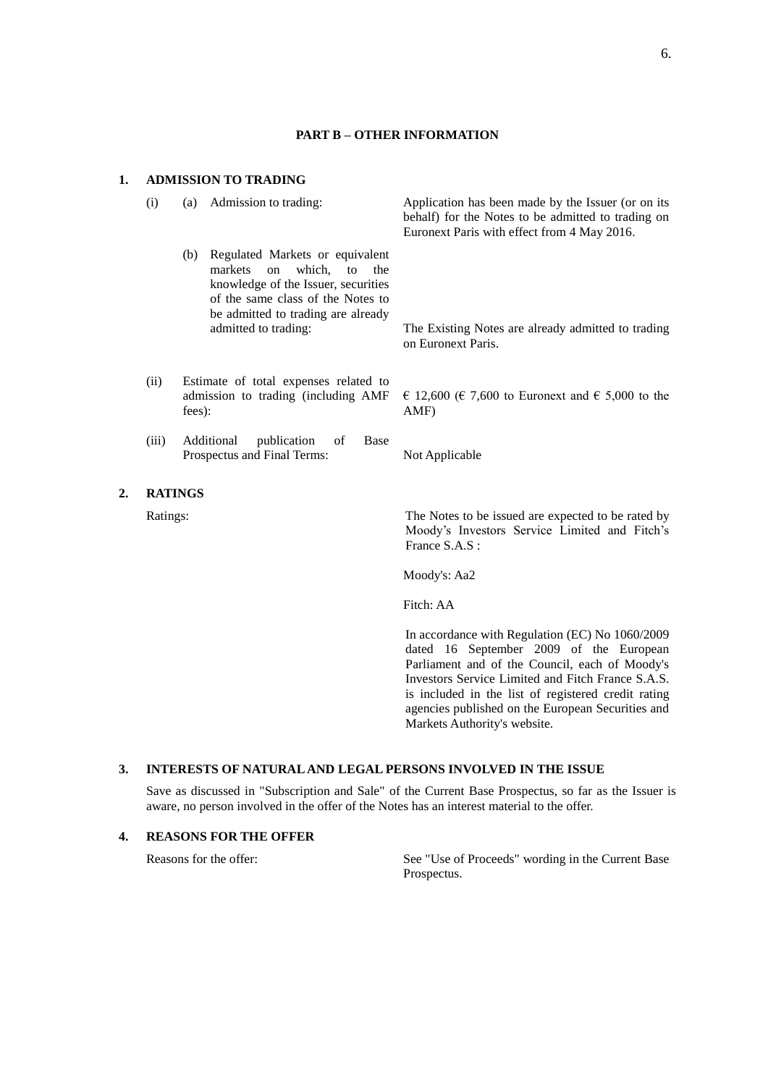#### **PART B – OTHER INFORMATION**

(i) (a) Admission to trading: Application has been made by the Issuer (or on its

#### **1. ADMISSION TO TRADING**

|                  |              |                                                                                                                                                                                                              | Euronext Paris with effect from 4 May 2016.                              |
|------------------|--------------|--------------------------------------------------------------------------------------------------------------------------------------------------------------------------------------------------------------|--------------------------------------------------------------------------|
|                  |              | Regulated Markets or equivalent<br>(b)<br>markets on which, to the<br>knowledge of the Issuer, securities<br>of the same class of the Notes to<br>be admitted to trading are already<br>admitted to trading: | The Existing Notes are already admitted to trading<br>on Euronext Paris. |
|                  | (ii)         | Estimate of total expenses related to<br>admission to trading (including AMF)<br>fees):                                                                                                                      | € 12,600 (€ 7,600 to Euronext and € 5,000 to the<br>AMF)                 |
|                  | (iii)        | Additional<br>publication of<br>Base<br>Prospectus and Final Terms:                                                                                                                                          | Not Applicable                                                           |
| $\overline{2}$ . |              | <b>RATINGS</b>                                                                                                                                                                                               |                                                                          |
|                  | $\mathbf{r}$ |                                                                                                                                                                                                              | $\cdots$ 1 $\cdots$ 1                                                    |

Ratings: The Notes to be issued are expected to be rated by Moody's Investors Service Limited and Fitch's France S.A.S :

behalf) for the Notes to be admitted to trading on

Moody's: Aa2

Fitch: AA

In accordance with Regulation (EC) No 1060/2009 dated 16 September 2009 of the European Parliament and of the Council, each of Moody's Investors Service Limited and Fitch France S.A.S. is included in the list of registered credit rating agencies published on the European Securities and Markets Authority's website.

## **3. INTERESTS OF NATURAL AND LEGAL PERSONS INVOLVED IN THE ISSUE**

Save as discussed in "Subscription and Sale" of the Current Base Prospectus, so far as the Issuer is aware, no person involved in the offer of the Notes has an interest material to the offer.

#### **4. REASONS FOR THE OFFER**

Reasons for the offer: See "Use of Proceeds" wording in the Current Base Prospectus.